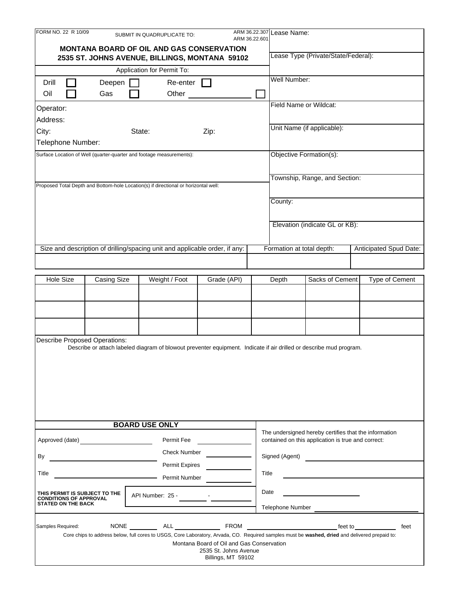| FORM NO. 22 R 10/09                                                                 |                                     | SUBMIT IN QUADRUPLICATE TO:                                                                                                                    |                                             | ARM 36.22.601 | ARM 36.22.307 Lease Name:                                    |                                                                                                             |  |                                                                                                                        |  |
|-------------------------------------------------------------------------------------|-------------------------------------|------------------------------------------------------------------------------------------------------------------------------------------------|---------------------------------------------|---------------|--------------------------------------------------------------|-------------------------------------------------------------------------------------------------------------|--|------------------------------------------------------------------------------------------------------------------------|--|
|                                                                                     |                                     | <b>MONTANA BOARD OF OIL AND GAS CONSERVATION</b>                                                                                               |                                             |               |                                                              |                                                                                                             |  |                                                                                                                        |  |
| 2535 ST. JOHNS AVENUE, BILLINGS, MONTANA 59102                                      | Lease Type (Private/State/Federal): |                                                                                                                                                |                                             |               |                                                              |                                                                                                             |  |                                                                                                                        |  |
|                                                                                     |                                     | Application for Permit To:                                                                                                                     |                                             |               |                                                              |                                                                                                             |  |                                                                                                                        |  |
| Drill                                                                               | Deepen                              | Re-enter                                                                                                                                       |                                             |               | Well Number:                                                 |                                                                                                             |  |                                                                                                                        |  |
| Oil                                                                                 | Gas                                 | Other                                                                                                                                          |                                             |               |                                                              |                                                                                                             |  |                                                                                                                        |  |
| Operator:                                                                           |                                     |                                                                                                                                                |                                             |               | Field Name or Wildcat:                                       |                                                                                                             |  |                                                                                                                        |  |
| Address:                                                                            |                                     |                                                                                                                                                |                                             |               |                                                              |                                                                                                             |  |                                                                                                                        |  |
| City:                                                                               |                                     | State:                                                                                                                                         | Zip:                                        |               |                                                              | Unit Name (if applicable):                                                                                  |  |                                                                                                                        |  |
| Telephone Number:                                                                   |                                     |                                                                                                                                                |                                             |               |                                                              |                                                                                                             |  |                                                                                                                        |  |
| Surface Location of Well (quarter-quarter and footage measurements):                |                                     | Objective Formation(s):                                                                                                                        |                                             |               |                                                              |                                                                                                             |  |                                                                                                                        |  |
|                                                                                     |                                     |                                                                                                                                                |                                             |               |                                                              |                                                                                                             |  |                                                                                                                        |  |
|                                                                                     |                                     |                                                                                                                                                |                                             |               |                                                              | Township, Range, and Section:                                                                               |  |                                                                                                                        |  |
| Proposed Total Depth and Bottom-hole Location(s) if directional or horizontal well: |                                     |                                                                                                                                                |                                             |               |                                                              |                                                                                                             |  |                                                                                                                        |  |
|                                                                                     |                                     |                                                                                                                                                |                                             |               | County:                                                      |                                                                                                             |  |                                                                                                                        |  |
|                                                                                     |                                     |                                                                                                                                                |                                             |               |                                                              |                                                                                                             |  |                                                                                                                        |  |
|                                                                                     |                                     |                                                                                                                                                |                                             |               | Elevation (indicate GL or KB):                               |                                                                                                             |  |                                                                                                                        |  |
|                                                                                     |                                     |                                                                                                                                                |                                             |               |                                                              |                                                                                                             |  |                                                                                                                        |  |
|                                                                                     |                                     | Size and description of drilling/spacing unit and applicable order, if any:                                                                    |                                             |               | Formation at total depth:                                    |                                                                                                             |  | Anticipated Spud Date:                                                                                                 |  |
|                                                                                     |                                     |                                                                                                                                                |                                             |               |                                                              |                                                                                                             |  |                                                                                                                        |  |
|                                                                                     |                                     |                                                                                                                                                |                                             |               |                                                              |                                                                                                             |  |                                                                                                                        |  |
| <b>Hole Size</b>                                                                    | <b>Casing Size</b>                  | Weight / Foot                                                                                                                                  | Grade (API)                                 |               | Depth                                                        | Sacks of Cement                                                                                             |  | Type of Cement                                                                                                         |  |
|                                                                                     |                                     |                                                                                                                                                |                                             |               |                                                              |                                                                                                             |  |                                                                                                                        |  |
|                                                                                     |                                     |                                                                                                                                                |                                             |               |                                                              |                                                                                                             |  |                                                                                                                        |  |
|                                                                                     |                                     |                                                                                                                                                |                                             |               |                                                              |                                                                                                             |  |                                                                                                                        |  |
|                                                                                     |                                     |                                                                                                                                                |                                             |               |                                                              |                                                                                                             |  |                                                                                                                        |  |
| <b>Describe Proposed Operations:</b>                                                |                                     | Describe or attach labeled diagram of blowout preventer equipment. Indicate if air drilled or describe mud program.                            |                                             |               |                                                              |                                                                                                             |  |                                                                                                                        |  |
|                                                                                     |                                     |                                                                                                                                                |                                             |               |                                                              |                                                                                                             |  |                                                                                                                        |  |
|                                                                                     |                                     |                                                                                                                                                |                                             |               |                                                              |                                                                                                             |  |                                                                                                                        |  |
|                                                                                     |                                     |                                                                                                                                                |                                             |               |                                                              |                                                                                                             |  |                                                                                                                        |  |
|                                                                                     |                                     |                                                                                                                                                |                                             |               |                                                              |                                                                                                             |  |                                                                                                                        |  |
|                                                                                     |                                     |                                                                                                                                                |                                             |               |                                                              |                                                                                                             |  |                                                                                                                        |  |
|                                                                                     |                                     |                                                                                                                                                |                                             |               |                                                              |                                                                                                             |  |                                                                                                                        |  |
|                                                                                     |                                     | <b>BOARD USE ONLY</b>                                                                                                                          |                                             |               |                                                              |                                                                                                             |  |                                                                                                                        |  |
| Approved (date) <b>Approved</b> (date)                                              |                                     | Permit Fee                                                                                                                                     |                                             |               |                                                              | The undersigned hereby certifies that the information<br>contained on this application is true and correct: |  |                                                                                                                        |  |
|                                                                                     |                                     | <b>Check Number</b>                                                                                                                            |                                             |               |                                                              |                                                                                                             |  |                                                                                                                        |  |
| By<br>Permit Expires                                                                |                                     |                                                                                                                                                |                                             |               | Signed (Agent)<br><u> 1986 - Johann Barn, mars ann an t-</u> |                                                                                                             |  |                                                                                                                        |  |
| Title<br>Permit Number                                                              |                                     |                                                                                                                                                |                                             |               | Title                                                        |                                                                                                             |  |                                                                                                                        |  |
|                                                                                     |                                     |                                                                                                                                                |                                             |               |                                                              |                                                                                                             |  |                                                                                                                        |  |
| THIS PERMIT IS SUBJECT TO THE<br><b>CONDITIONS OF APPROVAL</b>                      |                                     | API Number: 25 -                                                                                                                               |                                             | Date          |                                                              |                                                                                                             |  |                                                                                                                        |  |
| <b>STATED ON THE BACK</b>                                                           |                                     |                                                                                                                                                |                                             |               | Telephone Number                                             |                                                                                                             |  |                                                                                                                        |  |
|                                                                                     |                                     |                                                                                                                                                |                                             |               |                                                              |                                                                                                             |  |                                                                                                                        |  |
| Samples Required:                                                                   |                                     | Core chips to address below, full cores to USGS, Core Laboratory, Arvada, CO. Required samples must be washed, dried and delivered prepaid to: |                                             |               |                                                              |                                                                                                             |  | feet to the contract of the contract of the contract of the contract of the contract of the contract of the co<br>feet |  |
|                                                                                     |                                     |                                                                                                                                                | Montana Board of Oil and Gas Conservation   |               |                                                              |                                                                                                             |  |                                                                                                                        |  |
|                                                                                     |                                     |                                                                                                                                                | 2535 St. Johns Avenue<br>Billings, MT 59102 |               |                                                              |                                                                                                             |  |                                                                                                                        |  |